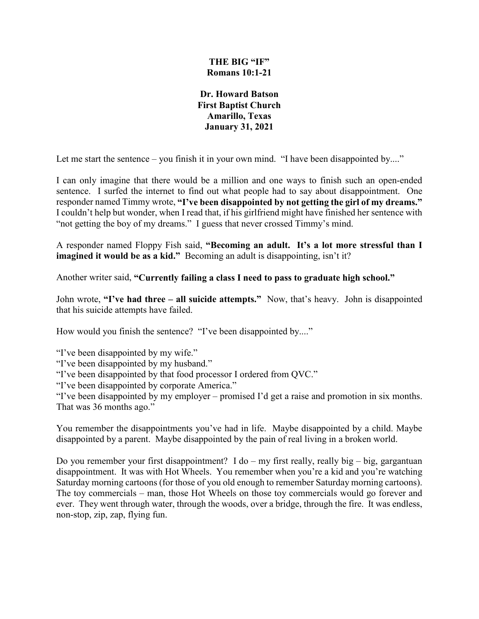## **THE BIG "IF" Romans 10:1-21**

**Dr. Howard Batson First Baptist Church Amarillo, Texas January 31, 2021**

Let me start the sentence – you finish it in your own mind. "I have been disappointed by...."

I can only imagine that there would be a million and one ways to finish such an open-ended sentence. I surfed the internet to find out what people had to say about disappointment. One responder named Timmy wrote, **"I've been disappointed by not getting the girl of my dreams."** I couldn't help but wonder, when I read that, if his girlfriend might have finished her sentence with "not getting the boy of my dreams." I guess that never crossed Timmy's mind.

A responder named Floppy Fish said, **"Becoming an adult. It's a lot more stressful than I imagined it would be as a kid."** Becoming an adult is disappointing, isn't it?

Another writer said, **"Currently failing a class I need to pass to graduate high school."**

John wrote, **"I've had three – all suicide attempts."** Now, that's heavy. John is disappointed that his suicide attempts have failed.

How would you finish the sentence? "I've been disappointed by...."

"I've been disappointed by my wife."

"I've been disappointed by my husband."

"I've been disappointed by that food processor I ordered from QVC."

"I've been disappointed by corporate America."

"I've been disappointed by my employer – promised I'd get a raise and promotion in six months. That was 36 months ago."

You remember the disappointments you've had in life. Maybe disappointed by a child. Maybe disappointed by a parent. Maybe disappointed by the pain of real living in a broken world.

Do you remember your first disappointment? I do – my first really, really big – big, gargantuan disappointment. It was with Hot Wheels. You remember when you're a kid and you're watching Saturday morning cartoons (for those of you old enough to remember Saturday morning cartoons). The toy commercials – man, those Hot Wheels on those toy commercials would go forever and ever. They went through water, through the woods, over a bridge, through the fire. It was endless, non-stop, zip, zap, flying fun.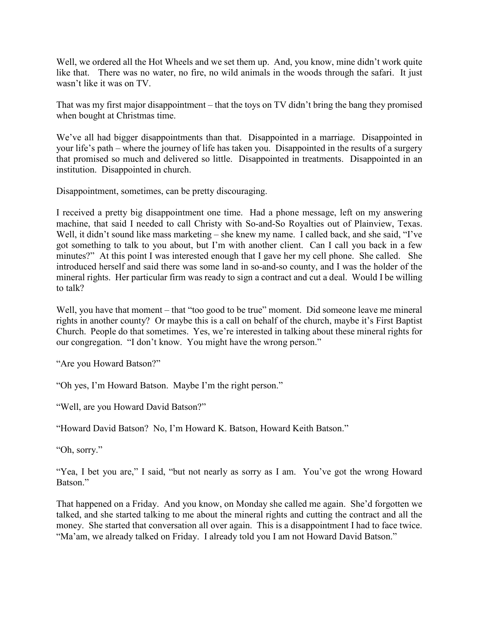Well, we ordered all the Hot Wheels and we set them up. And, you know, mine didn't work quite like that. There was no water, no fire, no wild animals in the woods through the safari. It just wasn't like it was on TV.

That was my first major disappointment – that the toys on TV didn't bring the bang they promised when bought at Christmas time.

We've all had bigger disappointments than that. Disappointed in a marriage. Disappointed in your life's path – where the journey of life has taken you. Disappointed in the results of a surgery that promised so much and delivered so little. Disappointed in treatments. Disappointed in an institution. Disappointed in church.

Disappointment, sometimes, can be pretty discouraging.

I received a pretty big disappointment one time. Had a phone message, left on my answering machine, that said I needed to call Christy with So-and-So Royalties out of Plainview, Texas. Well, it didn't sound like mass marketing – she knew my name. I called back, and she said, "I've got something to talk to you about, but I'm with another client. Can I call you back in a few minutes?" At this point I was interested enough that I gave her my cell phone. She called. She introduced herself and said there was some land in so-and-so county, and I was the holder of the mineral rights. Her particular firm was ready to sign a contract and cut a deal. Would I be willing to talk?

Well, you have that moment – that "too good to be true" moment. Did someone leave me mineral rights in another county? Or maybe this is a call on behalf of the church, maybe it's First Baptist Church. People do that sometimes. Yes, we're interested in talking about these mineral rights for our congregation. "I don't know. You might have the wrong person."

"Are you Howard Batson?"

"Oh yes, I'm Howard Batson. Maybe I'm the right person."

"Well, are you Howard David Batson?"

"Howard David Batson? No, I'm Howard K. Batson, Howard Keith Batson."

"Oh, sorry."

"Yea, I bet you are," I said, "but not nearly as sorry as I am. You've got the wrong Howard Batson."

That happened on a Friday. And you know, on Monday she called me again. She'd forgotten we talked, and she started talking to me about the mineral rights and cutting the contract and all the money. She started that conversation all over again. This is a disappointment I had to face twice. "Ma'am, we already talked on Friday. I already told you I am not Howard David Batson."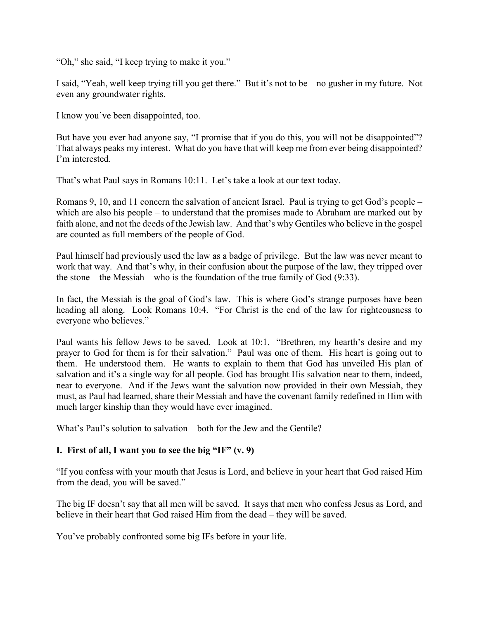"Oh," she said, "I keep trying to make it you."

I said, "Yeah, well keep trying till you get there." But it's not to be – no gusher in my future. Not even any groundwater rights.

I know you've been disappointed, too.

But have you ever had anyone say, "I promise that if you do this, you will not be disappointed"? That always peaks my interest. What do you have that will keep me from ever being disappointed? I'm interested.

That's what Paul says in Romans 10:11. Let's take a look at our text today.

Romans 9, 10, and 11 concern the salvation of ancient Israel. Paul is trying to get God's people – which are also his people – to understand that the promises made to Abraham are marked out by faith alone, and not the deeds of the Jewish law. And that's why Gentiles who believe in the gospel are counted as full members of the people of God.

Paul himself had previously used the law as a badge of privilege. But the law was never meant to work that way. And that's why, in their confusion about the purpose of the law, they tripped over the stone – the Messiah – who is the foundation of the true family of God (9:33).

In fact, the Messiah is the goal of God's law. This is where God's strange purposes have been heading all along. Look Romans 10:4. "For Christ is the end of the law for righteousness to everyone who believes."

Paul wants his fellow Jews to be saved. Look at 10:1. "Brethren, my hearth's desire and my prayer to God for them is for their salvation." Paul was one of them. His heart is going out to them. He understood them. He wants to explain to them that God has unveiled His plan of salvation and it's a single way for all people. God has brought His salvation near to them, indeed, near to everyone. And if the Jews want the salvation now provided in their own Messiah, they must, as Paul had learned, share their Messiah and have the covenant family redefined in Him with much larger kinship than they would have ever imagined.

What's Paul's solution to salvation – both for the Jew and the Gentile?

## **I. First of all, I want you to see the big "IF" (v. 9)**

"If you confess with your mouth that Jesus is Lord, and believe in your heart that God raised Him from the dead, you will be saved."

The big IF doesn't say that all men will be saved. It says that men who confess Jesus as Lord, and believe in their heart that God raised Him from the dead – they will be saved.

You've probably confronted some big IFs before in your life.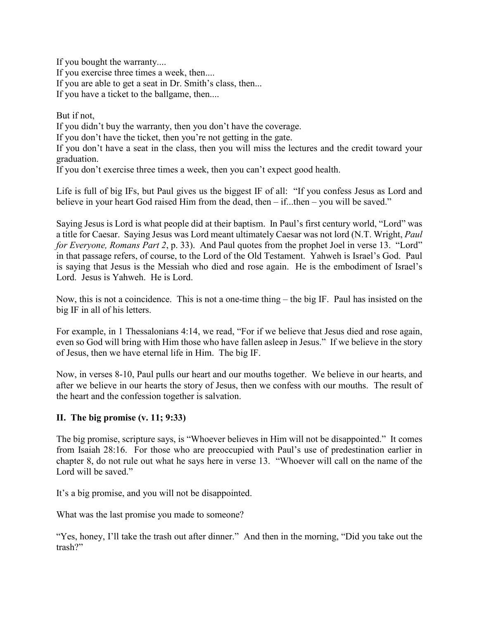If you bought the warranty.... If you exercise three times a week, then.... If you are able to get a seat in Dr. Smith's class, then... If you have a ticket to the ballgame, then....

But if not,

If you didn't buy the warranty, then you don't have the coverage.

If you don't have the ticket, then you're not getting in the gate.

If you don't have a seat in the class, then you will miss the lectures and the credit toward your graduation.

If you don't exercise three times a week, then you can't expect good health.

Life is full of big IFs, but Paul gives us the biggest IF of all: "If you confess Jesus as Lord and believe in your heart God raised Him from the dead, then – if...then – you will be saved."

Saying Jesus is Lord is what people did at their baptism. In Paul's first century world, "Lord" was a title for Caesar. Saying Jesus was Lord meant ultimately Caesar was not lord (N.T. Wright, *Paul for Everyone, Romans Part 2*, p. 33). And Paul quotes from the prophet Joel in verse 13. "Lord" in that passage refers, of course, to the Lord of the Old Testament. Yahweh is Israel's God. Paul is saying that Jesus is the Messiah who died and rose again. He is the embodiment of Israel's Lord. Jesus is Yahweh. He is Lord.

Now, this is not a coincidence. This is not a one-time thing – the big IF. Paul has insisted on the big IF in all of his letters.

For example, in 1 Thessalonians 4:14, we read, "For if we believe that Jesus died and rose again, even so God will bring with Him those who have fallen asleep in Jesus." If we believe in the story of Jesus, then we have eternal life in Him. The big IF.

Now, in verses 8-10, Paul pulls our heart and our mouths together. We believe in our hearts, and after we believe in our hearts the story of Jesus, then we confess with our mouths. The result of the heart and the confession together is salvation.

## **II. The big promise (v. 11; 9:33)**

The big promise, scripture says, is "Whoever believes in Him will not be disappointed." It comes from Isaiah 28:16. For those who are preoccupied with Paul's use of predestination earlier in chapter 8, do not rule out what he says here in verse 13. "Whoever will call on the name of the Lord will be saved."

It's a big promise, and you will not be disappointed.

What was the last promise you made to someone?

"Yes, honey, I'll take the trash out after dinner." And then in the morning, "Did you take out the trash?"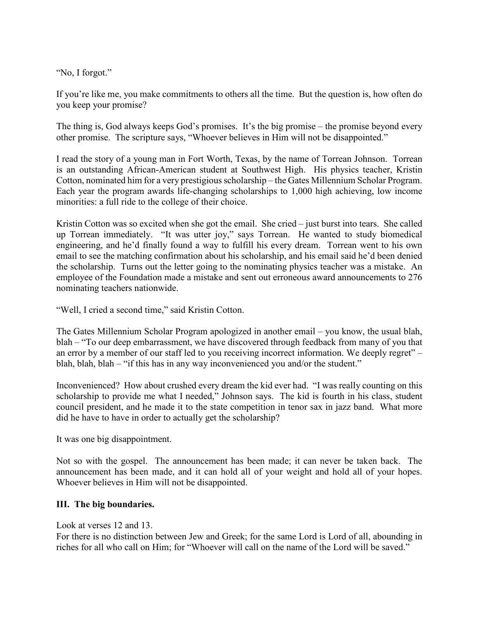"No, I forgot."

If you're like me, you make commitments to others all the time. But the question is, how often do you keep your promise?

The thing is, God always keeps God's promises. It's the big promise – the promise beyond every other promise. The scripture says, "Whoever believes in Him will not be disappointed."

I read the story of a young man in Fort Worth, Texas, by the name of Torrean Johnson. Torrean is an outstanding African-American student at Southwest High. His physics teacher, Kristin Cotton, nominated him for a very prestigious scholarship – the Gates Millennium Scholar Program. Each year the program awards life-changing scholarships to 1,000 high achieving, low income minorities: a full ride to the college of their choice.

Kristin Cotton was so excited when she got the email. She cried – just burst into tears. She called up Torrean immediately. "It was utter joy," says Torrean. He wanted to study biomedical engineering, and he'd finally found a way to fulfill his every dream. Torrean went to his own email to see the matching confirmation about his scholarship, and his email said he'd been denied the scholarship. Turns out the letter going to the nominating physics teacher was a mistake. An employee of the Foundation made a mistake and sent out erroneous award announcements to 276 nominating teachers nationwide.

"Well, I cried a second time," said Kristin Cotton.

The Gates Millennium Scholar Program apologized in another email – you know, the usual blah, blah – "To our deep embarrassment, we have discovered through feedback from many of you that an error by a member of our staff led to you receiving incorrect information. We deeply regret" – blah, blah, blah – "if this has in any way inconvenienced you and/or the student."

Inconvenienced? How about crushed every dream the kid ever had. "I was really counting on this scholarship to provide me what I needed," Johnson says. The kid is fourth in his class, student council president, and he made it to the state competition in tenor sax in jazz band. What more did he have to have in order to actually get the scholarship?

It was one big disappointment.

Not so with the gospel. The announcement has been made; it can never be taken back. The announcement has been made, and it can hold all of your weight and hold all of your hopes. Whoever believes in Him will not be disappointed.

## **III. The big boundaries.**

Look at verses 12 and 13.

For there is no distinction between Jew and Greek; for the same Lord is Lord of all, abounding in riches for all who call on Him; for "Whoever will call on the name of the Lord will be saved."